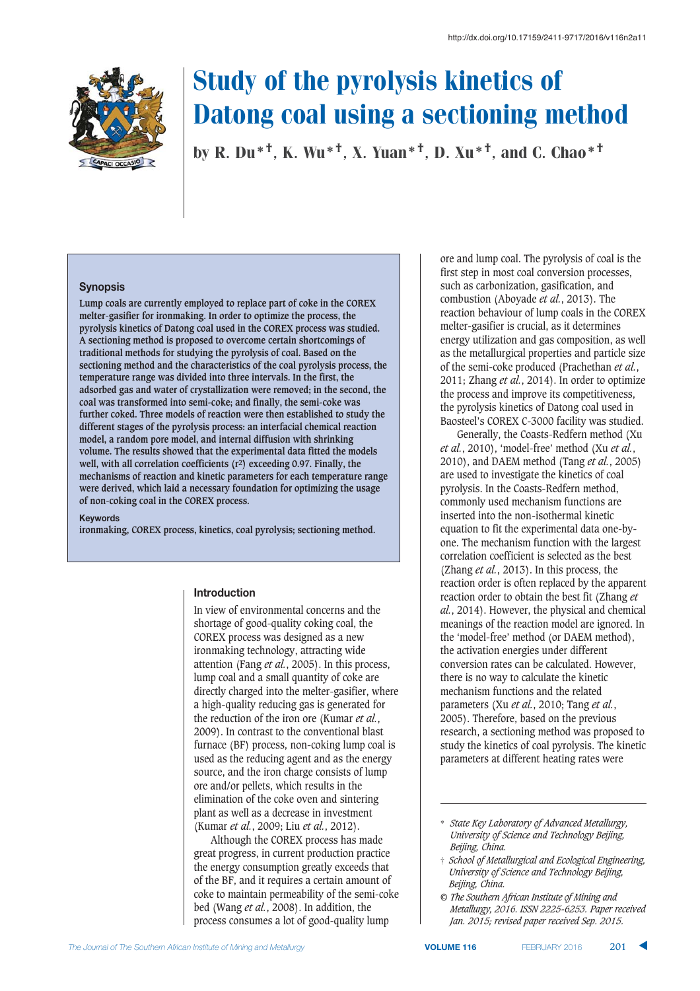

by R. Du\*†, K. Wu\*†, X. Yuan\*†, D. Xu\*†, and C. Chao\*†

#### **Synopsis**

**Lump coals are currently employed to replace part of coke in the COREX melter-gasifier for ironmaking. In order to optimize the process, the pyrolysis kinetics of Datong coal used in the COREX process was studied. A sectioning method is proposed to overcome certain shortcomings of traditional methods for studying the pyrolysis of coal. Based on the sectioning method and the characteristics of the coal pyrolysis process, the temperature range was divided into three intervals. In the first, the adsorbed gas and water of crystallization were removed; in the second, the coal was transformed into semi-coke; and finally, the semi-coke was further coked. Three models of reaction were then established to study the different stages of the pyrolysis process: an interfacial chemical reaction model, a random pore model, and internal diffusion with shrinking volume. The results showed that the experimental data fitted the models well, with all correlation coefficients (r2) exceeding 0.97. Finally, the mechanisms of reaction and kinetic parameters for each temperature range were derived, which laid a necessary foundation for optimizing the usage of non-coking coal in the COREX process.**

**Keywords** 

**ironmaking, COREX process, kinetics, coal pyrolysis; sectioning method.**

#### **Introduction**

In view of environmental concerns and the shortage of good-quality coking coal, the COREX process was designed as a new ironmaking technology, attracting wide attention (Fang *et al.*, 2005). In this process, lump coal and a small quantity of coke are directly charged into the melter-gasifier, where a high-quality reducing gas is generated for the reduction of the iron ore (Kumar *et al.*, 2009). In contrast to the conventional blast furnace (BF) process, non-coking lump coal is used as the reducing agent and as the energy source, and the iron charge consists of lump ore and/or pellets, which results in the elimination of the coke oven and sintering plant as well as a decrease in investment (Kumar *et al.*, 2009; Liu *et al.*, 2012).

Although the COREX process has made great progress, in current production practice the energy consumption greatly exceeds that of the BF, and it requires a certain amount of coke to maintain permeability of the semi-coke bed (Wang *et al.*, 2008). In addition, the process consumes a lot of good-quality lump

ore and lump coal. The pyrolysis of coal is the first step in most coal conversion processes, such as carbonization, gasification, and combustion (Aboyade *et al.*, 2013). The reaction behaviour of lump coals in the COREX melter-gasifier is crucial, as it determines energy utilization and gas composition, as well as the metallurgical properties and particle size of the semi-coke produced (Prachethan *et al.*, 2011; Zhang *et al.*, 2014). In order to optimize the process and improve its competitiveness, the pyrolysis kinetics of Datong coal used in Baosteel's COREX C-3000 facility was studied.

Generally, the Coasts-Redfern method (Xu *et al.*, 2010), 'model-free' method (Xu *et al.*, 2010), and DAEM method (Tang *et al.*, 2005) are used to investigate the kinetics of coal pyrolysis. In the Coasts-Redfern method, commonly used mechanism functions are inserted into the non-isothermal kinetic equation to fit the experimental data one-byone. The mechanism function with the largest correlation coefficient is selected as the best (Zhang *et al.*, 2013). In this process, the reaction order is often replaced by the apparent reaction order to obtain the best fit (Zhang *et al.*, 2014). However, the physical and chemical meanings of the reaction model are ignored. In the 'model-free' method (or DAEM method), the activation energies under different conversion rates can be calculated. However, there is no way to calculate the kinetic mechanism functions and the related parameters (Xu *et al.*, 2010; Tang *et al.*, 2005). Therefore, based on the previous research, a sectioning method was proposed to study the kinetics of coal pyrolysis. The kinetic parameters at different heating rates were

<sup>\*</sup> *State Key Laboratory of Advanced Metallurgy, University of Science and Technology Beijing, Beijing, China.*

<sup>†</sup> *School of Metallurgical and Ecological Engineering, University of Science and Technology Beijing, Beijing, China.*

*<sup>©</sup> The Southern African Institute of Mining and Metallurgy, 2016. ISSN 2225-6253. Paper received Jan. 2015; revised paper received Sep. 2015.*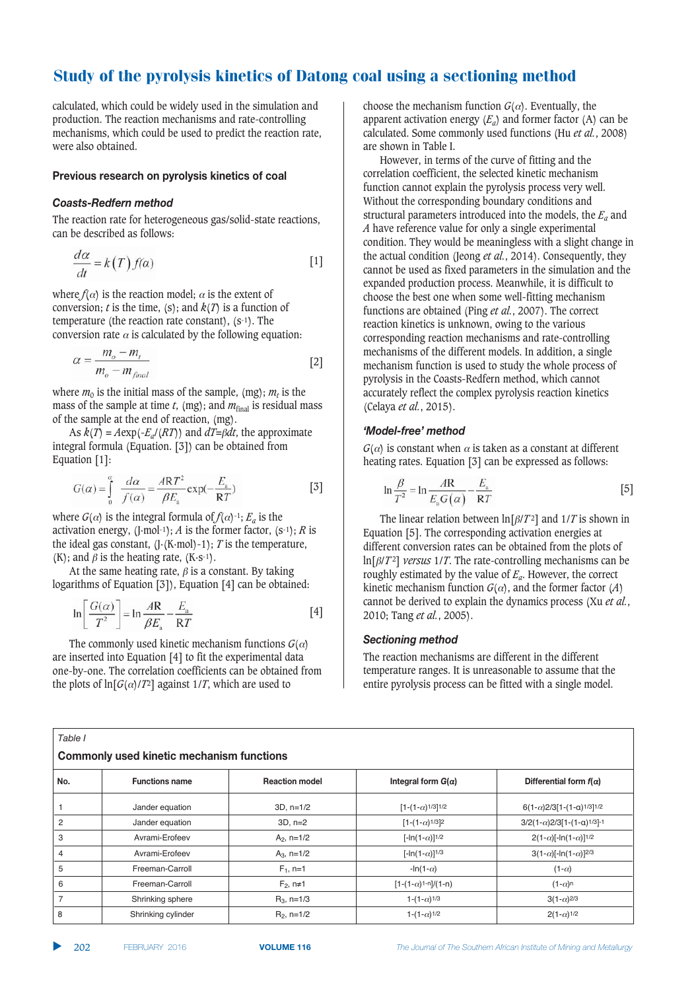calculated, which could be widely used in the simulation and production. The reaction mechanisms and rate-controlling mechanisms, which could be used to predict the reaction rate, were also obtained.

#### **Previous research on pyrolysis kinetics of coal**

#### Coasts-Redfern method

The reaction rate for heterogeneous gas/solid-state reactions, can be described as follows:

$$
\frac{d\alpha}{dt} = k(T) f(\alpha) \tag{1}
$$

where  $f(\alpha)$  is the reaction model;  $\alpha$  is the extent of conversion; *t* is the time, (s); and  $k(T)$  is a function of temperature (the reaction rate constant),  $(s^{-1})$ . The conversion rate  $\alpha$  is calculated by the following equation:

$$
\alpha = \frac{m_o - m_t}{m_o - m_{final}} \tag{2}
$$

where  $m_0$  is the initial mass of the sample, (mg);  $m_t$  is the mass of the sample at time  $t$ , (mg); and  $m_{final}$  is residual mass of the sample at the end of reaction, (mg).

As  $k(T) = A \exp(-E_a/(RT))$  and  $dT = \beta dt$ , the approximate integral formula (Equation. [3]) can be obtained from Equation [1]:

$$
G(\alpha) = \int_{0}^{\alpha} \frac{d\alpha}{f(\alpha)} = \frac{ART^2}{\beta E_{\rm a}} \exp(-\frac{E_{\rm a}}{RT})
$$
 [3]

where  $G(\alpha)$  is the integral formula of  $f(\alpha)$ -1;  $E_a$  is the activation energy,  $(I \cdot mol^{-1})$ ; *A* is the former factor,  $(s^{-1})$ ; *R* is the ideal gas constant,  $(I(K \cdot mol) - 1)$ ; *T* is the temperature,  $(K)$ ; and  $\beta$  is the heating rate,  $(K \cdot S^{-1})$ .

At the same heating rate,  $\beta$  is a constant. By taking logarithms of Equation [3]), Equation [4] can be obtained:

$$
\ln\left[\frac{G(\alpha)}{T^2}\right] = \ln\frac{AR}{\beta E_n} - \frac{E_a}{RT}
$$
 [4]

The commonly used kinetic mechanism functions  $G(\alpha)$ are inserted into Equation [4] to fit the experimental data one-by-one. The correlation coefficients can be obtained from the plots of  $\ln[G(\alpha)/T^2]$  against 1/*T*, which are used to

choose the mechanism function  $G(\alpha)$ . Eventually, the apparent activation energy  $(E_a)$  and former factor (A) can be calculated. Some commonly used functions (Hu *et al.*, 2008) are shown in Table I.

However, in terms of the curve of fitting and the correlation coefficient, the selected kinetic mechanism function cannot explain the pyrolysis process very well. Without the corresponding boundary conditions and structural parameters introduced into the models, the  $E_a$  and *A* have reference value for only a single experimental condition. They would be meaningless with a slight change in the actual condition (Jeong *et al.*, 2014). Consequently, they cannot be used as fixed parameters in the simulation and the expanded production process. Meanwhile, it is difficult to choose the best one when some well-fitting mechanism functions are obtained (Ping *et al.*, 2007). The correct reaction kinetics is unknown, owing to the various corresponding reaction mechanisms and rate-controlling mechanisms of the different models. In addition, a single mechanism function is used to study the whole process of pyrolysis in the Coasts-Redfern method, which cannot accurately reflect the complex pyrolysis reaction kinetics (Celaya *et al.*, 2015).

#### '*Model-free'* method

 $G(\alpha)$  is constant when  $\alpha$  is taken as a constant at different heating rates. Equation [3] can be expressed as follows:

$$
\ln \frac{\beta}{T^2} = \ln \frac{A\mathbf{R}}{E_\mathrm{a} G(\alpha)} - \frac{E_\mathrm{a}}{\mathbf{R} T}
$$
 [5]

The linear relation between  $\ln[\beta/T^2]$  and  $1/T$  is shown in Equation [5]. The corresponding activation energies at different conversion rates can be obtained from the plots of  $\ln[\beta/T^2]$  *versus* 1/*T*. The rate-controlling mechanisms can be roughly estimated by the value of *Ea*. However, the correct kinetic mechanism function  $G(\alpha)$ , and the former factor (*A*) cannot be derived to explain the dynamics process (Xu *et al.*, 2010; Tang *et al.*, 2005).

#### **Sectioning method**

The reaction mechanisms are different in the different temperature ranges. It is unreasonable to assume that the entire pyrolysis process can be fitted with a single model.

|     | <b>Commonly used kinetic mechanism functions</b> |                       |                                                 |                                                  |  |  |  |  |  |
|-----|--------------------------------------------------|-----------------------|-------------------------------------------------|--------------------------------------------------|--|--|--|--|--|
| No. | <b>Functions name</b>                            | <b>Reaction model</b> | Integral form $G(\alpha)$                       | Differential form $f(\alpha)$                    |  |  |  |  |  |
|     | Jander equation                                  | $3D, n=1/2$           | $[1-(1-\alpha)$ <sup>1/3</sup> ] <sup>1/2</sup> | $6(1-\alpha)2/3[1-(1-\alpha)1/3]1/2$             |  |  |  |  |  |
| 2   | Jander equation                                  | $3D. n=2$             | $[1-(1-\alpha)$ <sup>1/3</sup> ] <sup>2</sup>   | $3/2(1-\alpha)2/3[1-(1-\alpha)1/3]$ -1           |  |  |  |  |  |
| 3   | Avrami-Erofeev                                   | $A_2$ , n=1/2         | $[-ln(1-\alpha)]^{1/2}$                         | $2(1-\alpha)$ [-ln(1- $\alpha$ )] <sup>1/2</sup> |  |  |  |  |  |
| 4   | Avrami-Erofeev                                   | $A_3$ , n=1/2         | $[-ln(1-\alpha)]^{1/3}$                         | $3(1-\alpha)$ [-ln(1- $\alpha$ )] <sup>2/3</sup> |  |  |  |  |  |
| 5   | Freeman-Carroll                                  | $F_1$ , n=1           | $-\ln(1-\alpha)$                                | $(1-\alpha)$                                     |  |  |  |  |  |
| 6   | Freeman-Carroll                                  | $F_2$ , n≠1           | $[1-(1-\alpha)^{1-n}]/(1-n)$                    | $(1-\alpha)^n$                                   |  |  |  |  |  |
| 7   | Shrinking sphere                                 | $R_3$ , n=1/3         | 1- $(1-\alpha)$ <sup>1/3</sup>                  | $3(1-\alpha)^{2/3}$                              |  |  |  |  |  |
| 8   | Shrinking cylinder                               | $R_2$ , n=1/2         | $1-(1-\alpha)$ <sup>1/2</sup>                   | $2(1-\alpha)^{1/2}$                              |  |  |  |  |  |

*-*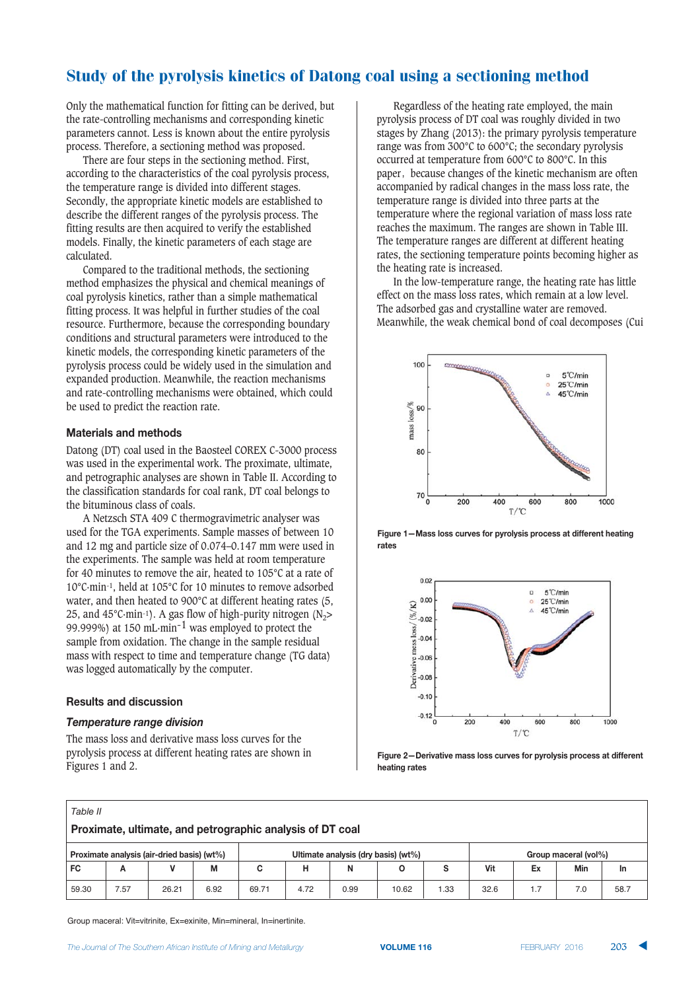Only the mathematical function for fitting can be derived, but the rate-controlling mechanisms and corresponding kinetic parameters cannot. Less is known about the entire pyrolysis process. Therefore, a sectioning method was proposed.

There are four steps in the sectioning method. First, according to the characteristics of the coal pyrolysis process, the temperature range is divided into different stages. Secondly, the appropriate kinetic models are established to describe the different ranges of the pyrolysis process. The fitting results are then acquired to verify the established models. Finally, the kinetic parameters of each stage are calculated.

Compared to the traditional methods, the sectioning method emphasizes the physical and chemical meanings of coal pyrolysis kinetics, rather than a simple mathematical fitting process. It was helpful in further studies of the coal resource. Furthermore, because the corresponding boundary conditions and structural parameters were introduced to the kinetic models, the corresponding kinetic parameters of the pyrolysis process could be widely used in the simulation and expanded production. Meanwhile, the reaction mechanisms and rate-controlling mechanisms were obtained, which could be used to predict the reaction rate.

#### **Materials and methods**

Datong (DT) coal used in the Baosteel COREX C-3000 process was used in the experimental work. The proximate, ultimate, and petrographic analyses are shown in Table II. According to the classification standards for coal rank, DT coal belongs to the bituminous class of coals.

A Netzsch STA 409 C thermogravimetric analyser was used for the TGA experiments. Sample masses of between 10 and 12 mg and particle size of 0.074–0.147 mm were used in the experiments. The sample was held at room temperature for 40 minutes to remove the air, heated to 105°C at a rate of 10°C·min-1, held at 105°C for 10 minutes to remove adsorbed water, and then heated to 900°C at different heating rates (5, 25, and 45°C·min-1). A gas flow of high-purity nitrogen  $(N_2$ > 99.999%) at 150 mL·min-1 was employed to protect the sample from oxidation. The change in the sample residual mass with respect to time and temperature change (TG data) was logged automatically by the computer.

#### $R$  **esults and discussion**

#### **Temperature range division**

The mass loss and derivative mass loss curves for the pyrolysis process at different heating rates are shown in Figures 1 and 2.

Regardless of the heating rate employed, the main pyrolysis process of DT coal was roughly divided in two stages by Zhang (2013): the primary pyrolysis temperature range was from 300°C to 600°C; the secondary pyrolysis occurred at temperature from 600°C to 800°C. In this paper, because changes of the kinetic mechanism are often accompanied by radical changes in the mass loss rate, the temperature range is divided into three parts at the temperature where the regional variation of mass loss rate reaches the maximum. The ranges are shown in Table III. The temperature ranges are different at different heating rates, the sectioning temperature points becoming higher as the heating rate is increased.

In the low-temperature range, the heating rate has little effect on the mass loss rates, which remain at a low level. The adsorbed gas and crystalline water are removed. Meanwhile, the weak chemical bond of coal decomposes (Cui







Figure 2-Derivative mass loss curves for pyrolysis process at different **<b> a** 

| ۰.<br>×<br>×<br>×<br>v |
|------------------------|

| Proximate, ultimate, and petrographic analysis of DT coal |  |  |  |  |  |  |
|-----------------------------------------------------------|--|--|--|--|--|--|
|-----------------------------------------------------------|--|--|--|--|--|--|

| Proximate analysis (air-dried basis) (wt%)<br>Ultimate analysis (dry basis) (wt%)<br>Group maceral (vol%) |          |       |      |                   |            |      |       |     |      |          |     |      |
|-----------------------------------------------------------------------------------------------------------|----------|-------|------|-------------------|------------|------|-------|-----|------|----------|-----|------|
| FC                                                                                                        | <u>r</u> |       | IVІ  |                   |            |      |       |     | Vit  | Ex       | Min | m    |
| 59.30                                                                                                     | 7.57     | 26.21 | 6.92 | 69.7 <sup>-</sup> | 70<br>4.72 | 0.99 | 10.62 | .33 | 32.6 | $\cdots$ | 7.0 | 58.7 |

Group maceral: Vit=vitrinite, Ex=exinite, Min=mineral, In=inertinite.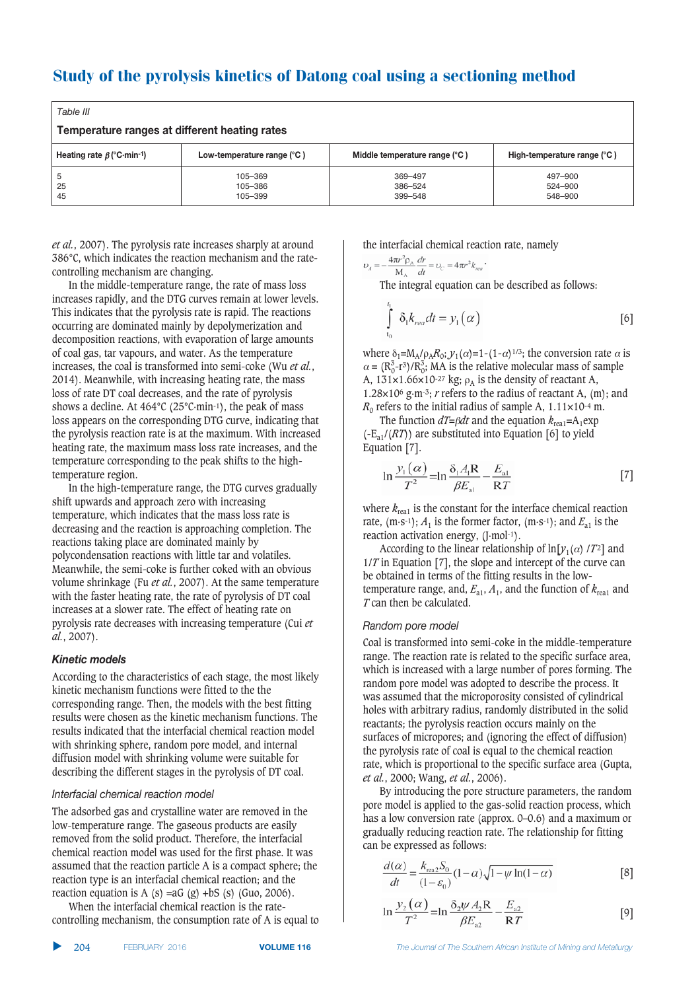| Table III                                     |                               |                               |                               |  |  |  |  |  |  |
|-----------------------------------------------|-------------------------------|-------------------------------|-------------------------------|--|--|--|--|--|--|
| Temperature ranges at different heating rates |                               |                               |                               |  |  |  |  |  |  |
| Heating rate $\beta$ (°C·min-1)               | Low-temperature range $(°C)$  | Middle temperature range (°C) | High-temperature range (°C)   |  |  |  |  |  |  |
| 5<br>25<br>45                                 | 105-369<br>105-386<br>105-399 | 369-497<br>386-524<br>399-548 | 497-900<br>524-900<br>548-900 |  |  |  |  |  |  |

*et al.*, 2007). The pyrolysis rate increases sharply at around 386°C, which indicates the reaction mechanism and the ratecontrolling mechanism are changing.

In the middle-temperature range, the rate of mass loss increases rapidly, and the DTG curves remain at lower levels. This indicates that the pyrolysis rate is rapid. The reactions occurring are dominated mainly by depolymerization and decomposition reactions, with evaporation of large amounts of coal gas, tar vapours, and water. As the temperature increases, the coal is transformed into semi-coke (Wu *et al.*, 2014). Meanwhile, with increasing heating rate, the mass loss of rate DT coal decreases, and the rate of pyrolysis shows a decline. At  $464^{\circ}$ C (25 $^{\circ}$ C·min<sup>-1</sup>), the peak of mass loss appears on the corresponding DTG curve, indicating that the pyrolysis reaction rate is at the maximum. With increased heating rate, the maximum mass loss rate increases, and the temperature corresponding to the peak shifts to the hightemperature region.

In the high-temperature range, the DTG curves gradually shift upwards and approach zero with increasing temperature, which indicates that the mass loss rate is decreasing and the reaction is approaching completion. The reactions taking place are dominated mainly by polycondensation reactions with little tar and volatiles. Meanwhile, the semi-coke is further coked with an obvious volume shrinkage (Fu *et al.*, 2007). At the same temperature with the faster heating rate, the rate of pyrolysis of DT coal increases at a slower rate. The effect of heating rate on pyrolysis rate decreases with increasing temperature (Cui *et al.*, 2007).

#### **Kinetic models**

According to the characteristics of each stage, the most likely kinetic mechanism functions were fitted to the the corresponding range. Then, the models with the best fitting results were chosen as the kinetic mechanism functions. The results indicated that the interfacial chemical reaction model with shrinking sphere, random pore model, and internal diffusion model with shrinking volume were suitable for describing the different stages in the pyrolysis of DT coal.

#### Interfacial chemical reaction model

The adsorbed gas and crystalline water are removed in the low-temperature range. The gaseous products are easily removed from the solid product. Therefore, the interfacial chemical reaction model was used for the first phase. It was assumed that the reaction particle A is a compact sphere; the reaction type is an interfacial chemical reaction; and the reaction equation is A (s) =aG (g) +bS (s) (Guo, 2006).

When the interfacial chemical reaction is the ratecontrolling mechanism, the consumption rate of A is equal to the interfacial chemical reaction rate, namely

 $\label{eq:U} \upsilon_{\scriptscriptstyle A} = -\frac{4\pi r^2 \rho_{\scriptscriptstyle \rm A}}{M_{\scriptscriptstyle \rm A}} \frac{dr}{dt} = \upsilon_{\scriptscriptstyle C} = 4\pi r^2 k_{\scriptscriptstyle rca} \, \cdot$ The integral equation can be described as follows:

$$
\int_{0}^{1} \delta_{1}k_{real}dt = y_{1}(\alpha)
$$
 [6]

where  $\delta_1 = M_A/\rho_A R_0$ ;  $y_1(\alpha) = 1-(1-\alpha)^{1/3}$ ; the conversion rate  $\alpha$  is  $\alpha = (R_0^3 - r^3)/R_0^3$ ; MA is the relative molecular mass of sample A,  $131\times1.66\times10^{-27}$  kg;  $\rho_A$  is the density of reactant A, 1.28 $\times$ 10<sup>6</sup> g·m<sup>-3</sup>; *r* refers to the radius of reactant A, (m); and  $R_0$  refers to the initial radius of sample A,  $1.11 \times 10^{-4}$  m.

The function  $dT = \beta dt$  and the equation  $k_{\text{real}} = A_1 \exp(kT)$  $(-E_{a1}/(RT))$  are substituted into Equation [6] to yield Equation [7].

$$
\ln \frac{y_1(\alpha)}{T^2} = \ln \frac{\delta_1 A_1 R}{\beta E_{\text{nl}}} - \frac{E_{\text{nl}}}{R T}
$$
 [7]

where  $k_{\text{real}}$  is the constant for the interface chemical reaction rate,  $(m·s-1)$ ;  $A_1$  is the former factor,  $(m·s-1)$ ; and  $E_{a1}$  is the reaction activation energy, (J·mol<sup>-1</sup>).

According to the linear relationship of  $\ln[y_1(\alpha) / T^2]$  and 1/*T* in Equation [7], the slope and intercept of the curve can be obtained in terms of the fitting results in the lowtemperature range, and,  $E_{a1}$ ,  $A_1$ , and the function of  $k_{\text{real}}$  and *T* can then be calculated.

#### **Random** pore model

Coal is transformed into semi-coke in the middle-temperature range. The reaction rate is related to the specific surface area, which is increased with a large number of pores forming. The random pore model was adopted to describe the process. It was assumed that the microporosity consisted of cylindrical holes with arbitrary radius, randomly distributed in the solid reactants; the pyrolysis reaction occurs mainly on the surfaces of micropores; and (ignoring the effect of diffusion) the pyrolysis rate of coal is equal to the chemical reaction rate, which is proportional to the specific surface area (Gupta, *et al.*, 2000; Wang, *et al.*, 2006).

By introducing the pore structure parameters, the random pore model is applied to the gas-solid reaction process, which has a low conversion rate (approx. 0–0.6) and a maximum or gradually reducing reaction rate. The relationship for fitting can be expressed as follows:

$$
\frac{d(\alpha)}{dt} = \frac{k_{\text{real}} 2} \left(1 - \alpha\right) \sqrt{1 - \psi \ln(1 - \alpha)} \tag{8}
$$

$$
\ln \frac{y_2(\alpha)}{T^2} = \ln \frac{\delta_2 \psi A_2 R}{\beta E_{\infty}} - \frac{E_{a2}}{R T}
$$
 [9]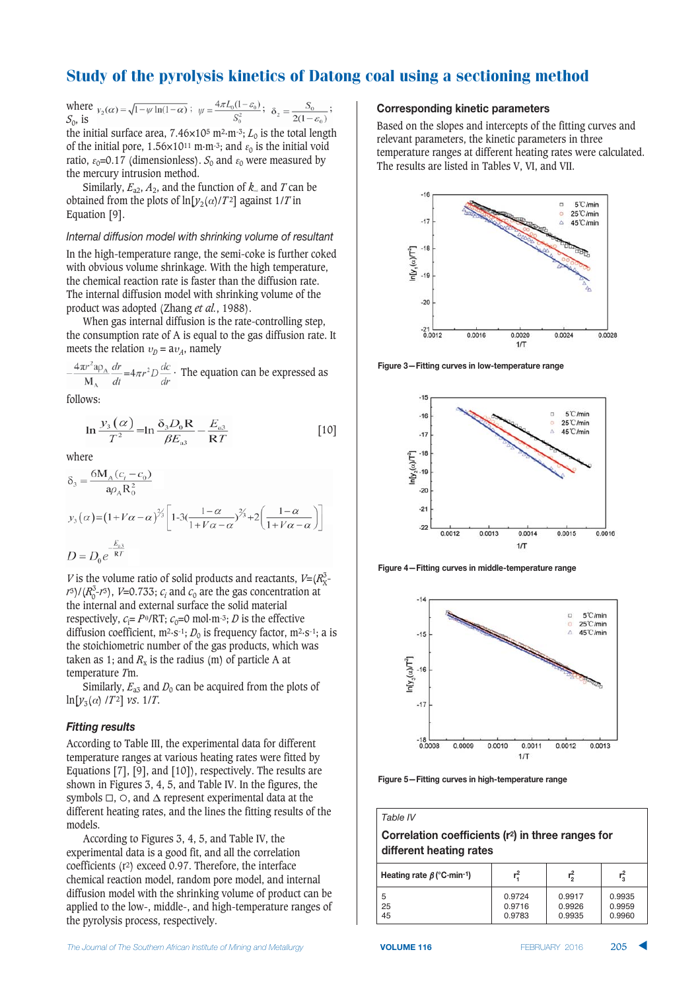where  $v_2(\alpha) = \sqrt{1 - \psi \ln(1 - \alpha)}$ ;  $\psi = \frac{4\pi L_0(1 - \varepsilon_0)}{S_2^2}$ ;  $\delta_2 = \frac{S_0}{2(1 - \varepsilon_0)}$ ; *S*0, is

the initial surface area,  $7.46 \times 10^5$  m<sup>2</sup>·m<sup>-3</sup>;  $L_0$  is the total length of the initial pore, 1.56×10<sup>11</sup> m·m<sup>-3</sup>; and  $\varepsilon_0$  is the initial void ratio,  $\varepsilon_0$ =0.17 (dimensionless).  $S_0$  and  $\varepsilon_0$  were measured by the mercury intrusion method.

Similarly,  $E_{a2}$ ,  $A_2$ , and the function of  $k_$  and *T* can be obtained from the plots of  $ln[y_2(\alpha)/T^2]$  against 1/*T* in Equation [9].

#### Internal diffusion model with shrinking volume of resultant

In the high-temperature range, the semi-coke is further coked with obvious volume shrinkage. With the high temperature, the chemical reaction rate is faster than the diffusion rate. The internal diffusion model with shrinking volume of the product was adopted (Zhang *et al.*, 1988).

When gas internal diffusion is the rate-controlling step, the consumption rate of A is equal to the gas diffusion rate. It meets the relation  $v_p = av_A$ , namely

 $\frac{4\pi r^2 a \rho_A}{M_A} \frac{dr}{dt} = 4\pi r^2 D \frac{dc}{dr}$ . The equation can be expressed as

follows:

$$
\ln \frac{y_3\left(\alpha\right)}{T^2} = \ln \frac{\delta_3 D_0 \mathbf{R}}{\beta E_{\text{a}3}} - \frac{E_{\text{a}3}}{\mathbf{R}T} \tag{10}
$$

where

$$
\delta_3 = \frac{6M_A(c_i - c_0)}{a\rho_A R_0^2}
$$
  

$$
y_3(\alpha) = (1 + V\alpha - \alpha)^{3/2} \left[ 1 - 3\left( \frac{1 - \alpha}{1 + V\alpha - \alpha} \right)^{2/2} + 2\left( \frac{1 - \alpha}{1 + V\alpha - \alpha} \right) \right]
$$
  

$$
D = D_0 e^{-\frac{E_{a3}}{RT}}
$$

*V* is the volume ratio of solid products and reactants,  $V=(R_{\text{X}}^3 - R_{\text{X}}^3)$  $r^3/(R_0^3-r^3)$ , *V*=0.733;  $c_i$  and  $c_0$  are the gas concentration at the internal and external surface the solid material respectively,  $c_i = P^{\theta} / RT$ ;  $c_0 = 0$  mol·m<sup>-3</sup>; *D* is the effective diffusion coefficient,  $m^2 \cdot s^{-1}$ ; *D*<sub>0</sub> is frequency factor,  $m^2 \cdot s^{-1}$ ; a is the stoichiometric number of the gas products, which was taken as 1; and  $R_x$  is the radius (m) of particle A at temperature *T*m.

Similarly,  $E_{a3}$  and  $D_0$  can be acquired from the plots of  $\ln[y_3(\alpha) / T^2]$  *vs.* 1/*T*.

#### **Fitting results**

According to Table III, the experimental data for different temperature ranges at various heating rates were fitted by Equations [7], [9], and [10]), respectively. The results are shown in Figures 3, 4, 5, and Table IV. In the figures, the symbols  $\Box$ ,  $\odot$ , and  $\Delta$  represent experimental data at the different heating rates, and the lines the fitting results of the models.

According to Figures 3, 4, 5, and Table IV, the experimental data is a good fit, and all the correlation coefficients (r2) exceed 0.97. Therefore, the interface chemical reaction model, random pore model, and internal diffusion model with the shrinking volume of product can be applied to the low-, middle-, and high-temperature ranges of the pyrolysis process, respectively.

#### **kCorresponding kinetic parameters**

Based on the slopes and intercepts of the fitting curves and relevant parameters, the kinetic parameters in three temperature ranges at different heating rates were calculated. The results are listed in Tables V, VI, and VII.



**Figure 3–Fitting curves in low-temperature range** 



**Figure 4-Fitting curves in middle-temperature range** 



**Figure 5-Fitting curves in high-temperature range** 

**2273 Correlation coefficients (r2) in three ranges for 83** different heating rates

| Heating rate $\beta$ (°C·min-1) | 2.     | ٣<br>≘י | 2،<br>י י |  |
|---------------------------------|--------|---------|-----------|--|
| 5                               | 0.9724 | 0.9917  | 0.9935    |  |
| 25                              | 0.9716 | 0.9926  | 0.9959    |  |
| 45                              | 0.9783 | 0.9935  | 0.9960    |  |

Table IV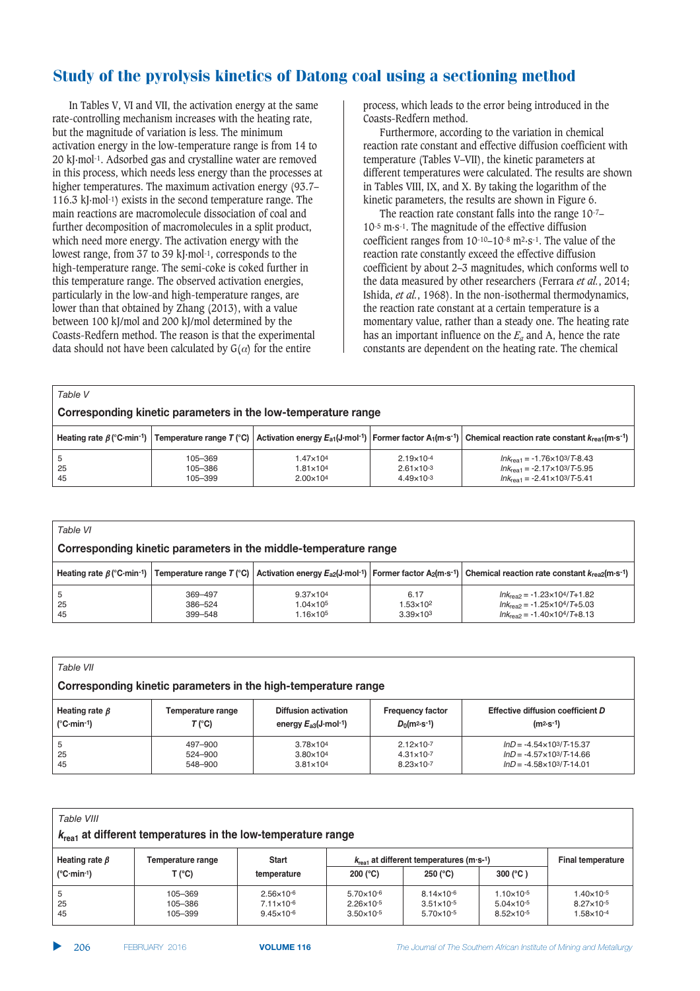In Tables V, VI and VII, the activation energy at the same rate-controlling mechanism increases with the heating rate, but the magnitude of variation is less. The minimum activation energy in the low-temperature range is from 14 to 20 kJ·mol-1. Adsorbed gas and crystalline water are removed in this process, which needs less energy than the processes at higher temperatures. The maximum activation energy (93.7– 116.3 kJ·mol-1) exists in the second temperature range. The main reactions are macromolecule dissociation of coal and further decomposition of macromolecules in a split product, which need more energy. The activation energy with the lowest range, from 37 to 39 kJ·mol-1, corresponds to the high-temperature range. The semi-coke is coked further in this temperature range. The observed activation energies, particularly in the low-and high-temperature ranges, are lower than that obtained by Zhang (2013), with a value between 100 kJ/mol and 200 kJ/mol determined by the Coasts-Redfern method. The reason is that the experimental data should not have been calculated by  $G(\alpha)$  for the entire

process, which leads to the error being introduced in the Coasts-Redfern method.

Furthermore, according to the variation in chemical reaction rate constant and effective diffusion coefficient with temperature (Tables V–VII), the kinetic parameters at different temperatures were calculated. The results are shown in Tables VIII, IX, and X. By taking the logarithm of the kinetic parameters, the results are shown in Figure 6.

The reaction rate constant falls into the range 10-7– 10-5 m·s-1. The magnitude of the effective diffusion coefficient ranges from 10-10–10-8 m2·s-1. The value of the reaction rate constantly exceed the effective diffusion coefficient by about 2–3 magnitudes, which conforms well to the data measured by other researchers (Ferrara *et al.*, 2014; Ishida, *et al.*, 1968). In the non-isothermal thermodynamics, the reaction rate constant at a certain temperature is a momentary value, rather than a steady one. The heating rate has an important influence on the  $E_a$  and A, hence the rate constants are dependent on the heating rate. The chemical

| Table V                                                       |                               |                                                        |                                                                         |                                                                                                                                                                                                                                                          |  |  |  |  |  |
|---------------------------------------------------------------|-------------------------------|--------------------------------------------------------|-------------------------------------------------------------------------|----------------------------------------------------------------------------------------------------------------------------------------------------------------------------------------------------------------------------------------------------------|--|--|--|--|--|
| Corresponding kinetic parameters in the low-temperature range |                               |                                                        |                                                                         |                                                                                                                                                                                                                                                          |  |  |  |  |  |
|                                                               |                               |                                                        |                                                                         | Heating rate $\beta$ (°C·min <sup>-1</sup> )   Temperature range T (°C)   Activation energy $E_{a1}$ (J·mol <sup>-1</sup> )   Former factor A <sub>1</sub> (m·s <sup>-1</sup> )   Chemical reaction rate constant $k_{\text{real}}$ (m·s <sup>-1</sup> ) |  |  |  |  |  |
| .5<br>25<br>45                                                | 105-369<br>105-386<br>105-399 | 1.47×104<br>$1.81 \times 10^{4}$<br>$2.00 \times 10^4$ | $2.19 \times 10^{-4}$<br>$2.61 \times 10^{-3}$<br>$4.49 \times 10^{-3}$ | $lnk_{\text{real}} = -1.76 \times 10^{3} / T - 8.43$<br>$lnk_{\text{real}} = -2.17 \times 10^3 / T - 5.95$<br>$lnk_{\text{real}} = -2.41 \times 10^{3} / T - 5.41$                                                                                       |  |  |  |  |  |

| Table VI                                                         |                    |                                            |                                            |                                                                                                                                                                                                                                                          |  |  |  |  |  |
|------------------------------------------------------------------|--------------------|--------------------------------------------|--------------------------------------------|----------------------------------------------------------------------------------------------------------------------------------------------------------------------------------------------------------------------------------------------------------|--|--|--|--|--|
| Corresponding kinetic parameters in the middle-temperature range |                    |                                            |                                            |                                                                                                                                                                                                                                                          |  |  |  |  |  |
|                                                                  |                    |                                            |                                            | Heating rate $\beta$ (°C·min <sup>-1</sup> )   Temperature range T (°C)   Activation energy $E_{a2}$ (J·mol <sup>-1</sup> )   Former factor A <sub>2</sub> (m·s <sup>-1</sup> )   Chemical reaction rate constant $k_{\text{real}}$ (m·s <sup>-1</sup> ) |  |  |  |  |  |
| 5                                                                | 369-497            | $9.37 \times 10^{4}$                       | 6.17                                       | $lnK_{\text{max}} = -1.23 \times 10^{4} / T + 1.82$                                                                                                                                                                                                      |  |  |  |  |  |
| 25<br>45                                                         | 386-524<br>399-548 | $1.04 \times 10^{5}$<br>$1.16\times10^{5}$ | 1.53×10 <sup>2</sup><br>$3.39 \times 10^3$ | $lnK_{\text{max}} = -1.25 \times 10^{4} / T + 5.03$<br>$Ink_{\text{rea2}} = -1.40 \times 10^{4} / T + 8.13$                                                                                                                                              |  |  |  |  |  |

| Table VII                                                      |                   |                                   |                         |                                         |  |  |  |  |
|----------------------------------------------------------------|-------------------|-----------------------------------|-------------------------|-----------------------------------------|--|--|--|--|
| Corresponding kinetic parameters in the high-temperature range |                   |                                   |                         |                                         |  |  |  |  |
| Heating rate $\beta$                                           | Temperature range | <b>Diffusion activation</b>       | <b>Frequency factor</b> | Effective diffusion coefficient D       |  |  |  |  |
| $(^{\circ}C \cdot min^{-1})$                                   | T (°C)            | energy $E_{a3}(J \cdot mol^{-1})$ | $D_0(m^2 \cdot s^{-1})$ | $(m2·s-1)$                              |  |  |  |  |
| 5                                                              | 497–900           | 3.78×104                          | $2.12 \times 10^{-7}$   | $lnD = -4.54 \times 10^{3} / T - 15.37$ |  |  |  |  |
| 25                                                             | 524-900           | $3.80\times10^{4}$                | $4.31 \times 10^{-7}$   | $lnD = -4.57 \times 10^{3}/T - 14.66$   |  |  |  |  |
| 45                                                             | 548-900           | $3.81 \times 10^{4}$              | $8.23 \times 10^{-7}$   | $lnD = -4.58 \times 10^{3} / T - 14.01$ |  |  |  |  |

| Table VIII<br>$k_{\text{real}}$ at different temperatures in the low-temperature range |                               |                                                                         |                                                                         |                                                                                               |                                                                         |                                                                     |  |  |
|----------------------------------------------------------------------------------------|-------------------------------|-------------------------------------------------------------------------|-------------------------------------------------------------------------|-----------------------------------------------------------------------------------------------|-------------------------------------------------------------------------|---------------------------------------------------------------------|--|--|
| Heating rate $\beta$<br>$(^{\circ}C \cdot min^{-1})$                                   | Temperature range<br>T (°C)   | <b>Start</b><br>temperature                                             | $200 (^{\circ}C)$                                                       | $k_{\text{real}}$ at different temperatures (m·s-1)<br>300 $(^{\circ}C)$<br>250 $(^{\circ}C)$ |                                                                         |                                                                     |  |  |
| b<br>25<br>45                                                                          | 105-369<br>105-386<br>105-399 | $2.56 \times 10^{-6}$<br>$7.11 \times 10^{-6}$<br>$9.45 \times 10^{-6}$ | $5.70 \times 10^{-6}$<br>$2.26 \times 10^{-5}$<br>$3.50 \times 10^{-5}$ | $8.14 \times 10^{-6}$<br>$3.51 \times 10^{-5}$<br>$5.70 \times 10^{-5}$                       | $1.10 \times 10^{-5}$<br>$5.04 \times 10^{-5}$<br>$8.52 \times 10^{-5}$ | $1.40\times10^{-5}$<br>$8.27 \times 10^{-5}$<br>$1.58\times10^{-4}$ |  |  |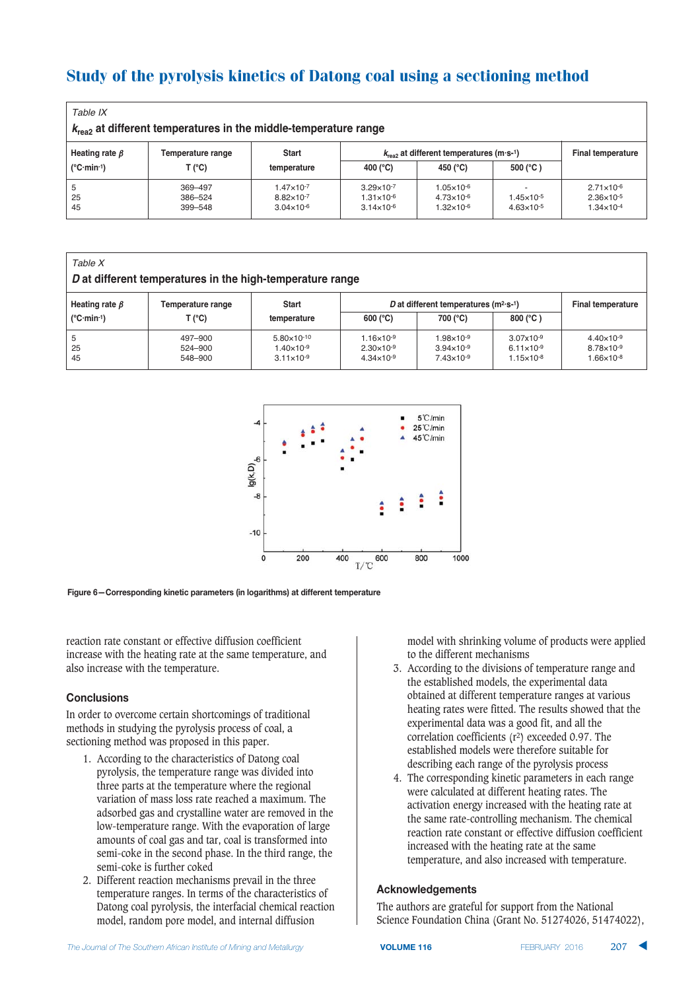| Table IX<br>$k_{\text{rea2}}$ at different temperatures in the middle-temperature range |                               |                                                                         |                                                                         |                                                                         |                                                |                                                                         |  |  |
|-----------------------------------------------------------------------------------------|-------------------------------|-------------------------------------------------------------------------|-------------------------------------------------------------------------|-------------------------------------------------------------------------|------------------------------------------------|-------------------------------------------------------------------------|--|--|
| Heating rate $\beta$<br>$(^{\circ}C \cdot min^{-1})$                                    | Temperature range<br>T (°C)   | <b>Start</b><br>temperature                                             | $k_{\text{rea}2}$ at different temperatures (m·s-1)<br>400 (°C)         | <b>Final temperature</b>                                                |                                                |                                                                         |  |  |
| 5<br>25<br>45                                                                           | 369-497<br>386-524<br>399-548 | $1.47 \times 10^{-7}$<br>$8.82 \times 10^{-7}$<br>$3.04 \times 10^{-6}$ | $3.29 \times 10^{-7}$<br>$1.31 \times 10^{-6}$<br>$3.14 \times 10^{-6}$ | $1.05 \times 10^{-6}$<br>$4.73 \times 10^{-6}$<br>$1.32 \times 10^{-6}$ | $1.45 \times 10^{-5}$<br>$4.63 \times 10^{-5}$ | $2.71 \times 10^{-6}$<br>$2.36 \times 10^{-5}$<br>$1.34 \times 10^{-4}$ |  |  |

| Table X<br>D at different temperatures in the high-temperature range |                               |                                                                        |                                                                         |                                                                          |                                                                  |                                                                     |  |  |
|----------------------------------------------------------------------|-------------------------------|------------------------------------------------------------------------|-------------------------------------------------------------------------|--------------------------------------------------------------------------|------------------------------------------------------------------|---------------------------------------------------------------------|--|--|
| Heating rate $\beta$<br>$(^{\circ}C \cdot min^{-1})$                 | Temperature range<br>T (°C)   | <b>Start</b><br>temperature                                            | $600 (^{\circ}C)$                                                       | D at different temperatures $(m^2 \cdot s^{-1})$<br>800 (°C)<br>700 (°C) |                                                                  |                                                                     |  |  |
| 5<br>25<br>45                                                        | 497-900<br>524-900<br>548-900 | $5.80 \times 10^{-10}$<br>$1.40\times10^{-9}$<br>$3.11 \times 10^{-9}$ | $1.16 \times 10^{-9}$<br>$2.30 \times 10^{-9}$<br>$4.34 \times 10^{-9}$ | $1.98 \times 10^{-9}$<br>$3.94 \times 10^{-9}$<br>$7.43 \times 10^{-9}$  | $3.07x10^{-9}$<br>$6.11 \times 10^{-9}$<br>$1.15 \times 10^{-8}$ | $4.40\times10^{-9}$<br>$8.78 \times 10^{-9}$<br>$1.66\times10^{-8}$ |  |  |



**Figure 6–Corresponding kinetic parameters (in logarithms) at different temperature** 

reaction rate constant or effective diffusion coefficient increase with the heating rate at the same temperature, and also increase with the temperature.

#### $Conclusions$

In order to overcome certain shortcomings of traditional methods in studying the pyrolysis process of coal, a sectioning method was proposed in this paper.

- 1. According to the characteristics of Datong coal pyrolysis, the temperature range was divided into three parts at the temperature where the regional variation of mass loss rate reached a maximum. The adsorbed gas and crystalline water are removed in the low-temperature range. With the evaporation of large amounts of coal gas and tar, coal is transformed into semi-coke in the second phase. In the third range, the semi-coke is further coked
- 2. Different reaction mechanisms prevail in the three temperature ranges. In terms of the characteristics of Datong coal pyrolysis, the interfacial chemical reaction model, random pore model, and internal diffusion

model with shrinking volume of products were applied to the different mechanisms

- 3. According to the divisions of temperature range and the established models, the experimental data obtained at different temperature ranges at various heating rates were fitted. The results showed that the experimental data was a good fit, and all the correlation coefficients (r2) exceeded 0.97. The established models were therefore suitable for describing each range of the pyrolysis process
- 4. The corresponding kinetic parameters in each range were calculated at different heating rates. The activation energy increased with the heating rate at the same rate-controlling mechanism. The chemical reaction rate constant or effective diffusion coefficient increased with the heating rate at the same temperature, and also increased with temperature.

#### **Acknowledgements**

The authors are grateful for support from the National Science Foundation China (Grant No. 51274026, 51474022),